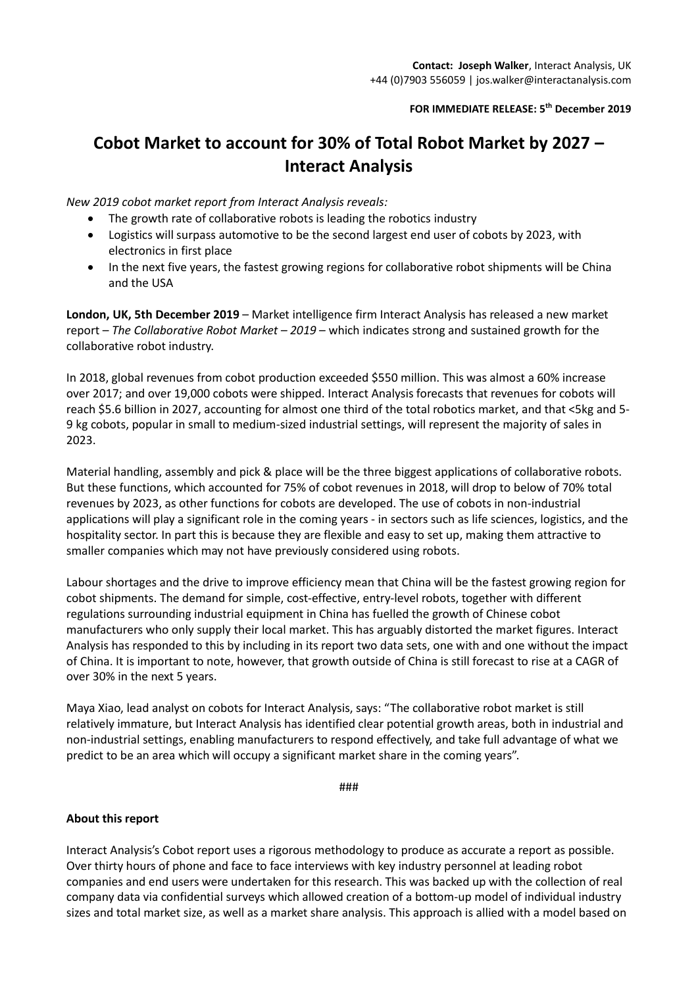**FOR IMMEDIATE RELEASE: 5th December 2019**

## **Cobot Market to account for 30% of Total Robot Market by 2027 – Interact Analysis**

*New 2019 cobot market report from Interact Analysis reveals:*

- The growth rate of collaborative robots is leading the robotics industry
- Logistics will surpass automotive to be the second largest end user of cobots by 2023, with electronics in first place
- In the next five years, the fastest growing regions for collaborative robot shipments will be China and the USA

**London, UK, 5th December 2019** – Market intelligence firm Interact Analysis has released a new market report – *The Collaborative Robot Market – 2019* – which indicates strong and sustained growth for the collaborative robot industry.

In 2018, global revenues from cobot production exceeded \$550 million. This was almost a 60% increase over 2017; and over 19,000 cobots were shipped. Interact Analysis forecasts that revenues for cobots will reach \$5.6 billion in 2027, accounting for almost one third of the total robotics market, and that <5kg and 5- 9 kg cobots, popular in small to medium-sized industrial settings, will represent the majority of sales in 2023.

Material handling, assembly and pick & place will be the three biggest applications of collaborative robots. But these functions, which accounted for 75% of cobot revenues in 2018, will drop to below of 70% total revenues by 2023, as other functions for cobots are developed. The use of cobots in non-industrial applications will play a significant role in the coming years - in sectors such as life sciences, logistics, and the hospitality sector. In part this is because they are flexible and easy to set up, making them attractive to smaller companies which may not have previously considered using robots.

Labour shortages and the drive to improve efficiency mean that China will be the fastest growing region for cobot shipments. The demand for simple, cost-effective, entry-level robots, together with different regulations surrounding industrial equipment in China has fuelled the growth of Chinese cobot manufacturers who only supply their local market. This has arguably distorted the market figures. Interact Analysis has responded to this by including in its report two data sets, one with and one without the impact of China. It is important to note, however, that growth outside of China is still forecast to rise at a CAGR of over 30% in the next 5 years.

Maya Xiao, lead analyst on cobots for Interact Analysis, says: "The collaborative robot market is still relatively immature, but Interact Analysis has identified clear potential growth areas, both in industrial and non-industrial settings, enabling manufacturers to respond effectively, and take full advantage of what we predict to be an area which will occupy a significant market share in the coming years".

###

## **About this report**

Interact Analysis's Cobot report uses a rigorous methodology to produce as accurate a report as possible. Over thirty hours of phone and face to face interviews with key industry personnel at leading robot companies and end users were undertaken for this research. This was backed up with the collection of real company data via confidential surveys which allowed creation of a bottom-up model of individual industry sizes and total market size, as well as a market share analysis. This approach is allied with a model based on